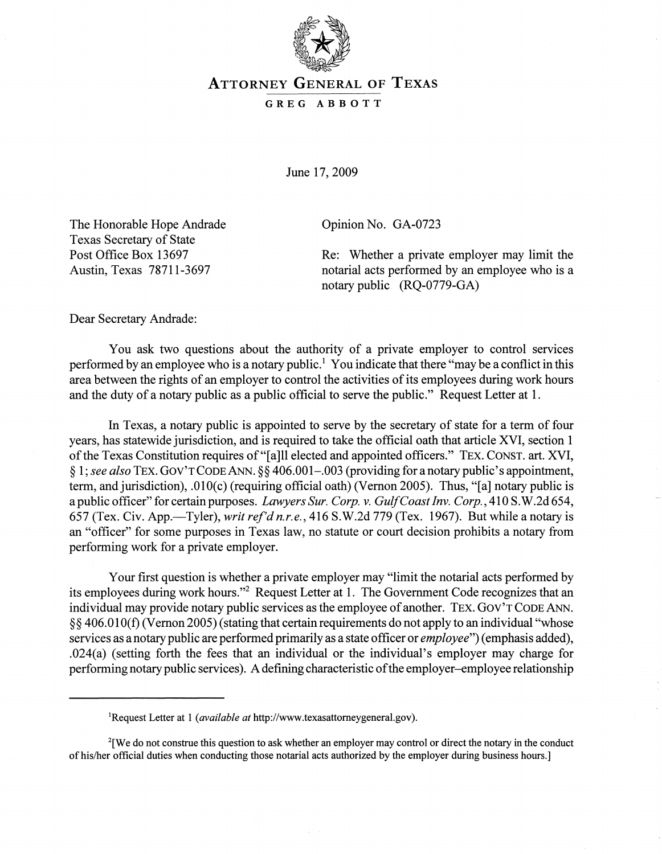

## ATTORNEY GENERAL OF TEXAS

## GREG ABBOTT

June 17, 2009

The Honorable Hope Andrade Texas Secretary of State Post Office Box 13697 Austin, Texas 78711-3697

Opinion No. GA-0723

Re: Whether a private employer may limit the notarial acts performed by an employee who is a notary public (RQ-0779-GA)

Dear Secretary Andrade:

You ask two questions about the authority of a private employer to control services performed by an employee who is a notary public.<sup>1</sup> You indicate that there "may be a conflict in this area between the rights of an employer to control the activities of its employees during work hours and the duty of a notary public as a public official to serve the public." Request Letter at 1.

In Texas, a notary public is appointed to serve by the secretary of state for a term of four years, has statewide jurisdiction, and is required to take the official oath that article XVI, section 1 of the Texas Constitution requires of "[a]ll elected and appointed officers." TEX. CONST. art. XVI, § 1; *see also* TEX. GOV'T CODE ANN. § § 406.001-.003 (providing for a notary public's appointment, term, and jurisdiction), .010(c) (requiring official oath) (Vernon 2005). Thus, "[a] notary public is a public officer" for certain purposes. *Lawyers Sur. Corp.* v. *Gulf Coast Inv. Corp.,* 410 S. W.2d 654, 657 (Tex. Civ. App.-Tyler), *writ ref'd n.r.e.,* 416 S.W.2d 779 (Tex. 1967). But while a notary is an "officer" for some purposes in Texas law, no statute or court decision prohibits a notary from performing work for a private employer.

Your first question is whether a private employer may "limit the notarial acts performed by its employees during work hours."<sup>2</sup> Request Letter at 1. The Government Code recognizes that an individual may provide notary public services as the employee of another. TEX. GOV'T CODE ANN. § § 406.01 0(1) (Vernon 2005) (stating that certain requirements do not apply to an individual "whose services as a notary public are performed primarily as a state officer or *employee")* (emphasis added), .024(a) (setting forth the fees that an individual or the individual's employer may charge for performing notary public services). A defining characteristic ofthe employer-employee relationship

lRequest Letter at 1 *(available at* http://www.texasattomeygeneral.gov).

<sup>&</sup>lt;sup>2</sup>[We do not construe this question to ask whether an employer may control or direct the notary in the conduct ofhislher official duties when conducting those notarial acts authorized by the employer during business hours.]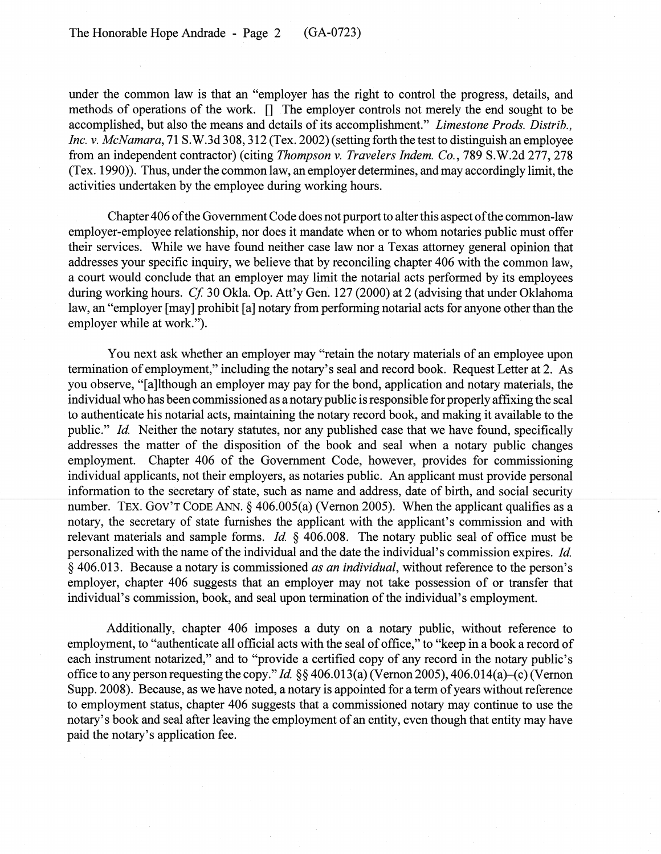under the common law is that an "employer has the right to control the progress, details, and methods of operations of the work. [] The employer controls not merely the end sought to be accomplished, but also the means and details of its accomplishment." *Limestone Prods. Distrib., Inc. v. McNamara,* 71 S.W.3d 308, 312 (Tex. 2002) (setting forth the test to distinguish an employee from an independent contractor) (citing *Thompson* v. *Travelers Indem. Co.,* 789 S.W.2d 277,278 (Tex. 1990)). Thus, under the common law, an employer determines, and may accordingly limit, the activities undertaken by the employee during working hours.

Chapter 406 of the Government Code does not purport to alter this aspect of the common-law employer-employee relationship, nor does it mandate when or to whom notaries public must offer their services. While we have found neither case law nor a Texas attorney general opinion that addresses your specific inquiry, we believe that by reconciling chapter 406 with the common law, a court would conclude that an employer may limit the notarial acts performed by its employees during working hours. *Cf* 30 Okla. Op. Att'y Gen. 127 (2000) at 2 (advising that under Oklahoma law, an "employer [may] prohibit [a] notary from performing notarial acts for anyone other than the employer while at work.").

You next ask whether an employer may "retain the notary materials of an employee upon termination of employment," including the notary's seal and record book. Request Letter at 2. As you observe, "[a]lthough an employer may pay for the bond, application and notary materials, the individual who has been commissioned as a notary public is responsible for properly affixing the seal to authenticate his notarial acts, maintaining the notary record book, and making it available to the public." *Id.* Neither the notary statutes, nor any published case that we have found, specifically addresses the matter of the disposition of the book and seal when a notary public changes employment. Chapter 406 of the Government Code, however, provides for commissioning individual applicants, not their employers, as notaries public. An applicant must provide personal information to the secretary of state, such as name and address, date of birth, and social security number. TEX. GOV'T CODE ANN. § 406.005(a) (Vernon 2005). When the applicant qualifies as a notary, the secretary of state furnishes the applicant with the applicant's commission and with relevant materials and sample forms. *Id* § 406.008. The notary public seal of office must be personalized with the name of the individual and the date the individual's commission expires. *Id.*  § 406.013. Because a notary is commissioned *as an individual,* without reference to the person's employer, chapter 406 suggests that an employer may not take possession of or transfer that individual's commission, book, and seal upon termination of the individual's employment.

Additionally, chapter 406 imposes a duty on a notary public, without reference to employment, to "authenticate all official acts with the seal of office," to "keep in a book a record of each instrument notarized," and to "provide a certified copy of any record in the notary public's office to any person requesting the copy." *Id.* §§ 406.013(a) (Vernon 2005), 406.014(a)–(c) (Vernon Supp.2008). Because, as we have noted, a notary is appointed for a term of years without reference to employment status, chapter 406 suggests that a commissioned notary may continue to use the notary's book and seal after leaving the employment of an entity, even though that entity may have paid the notary's application fee.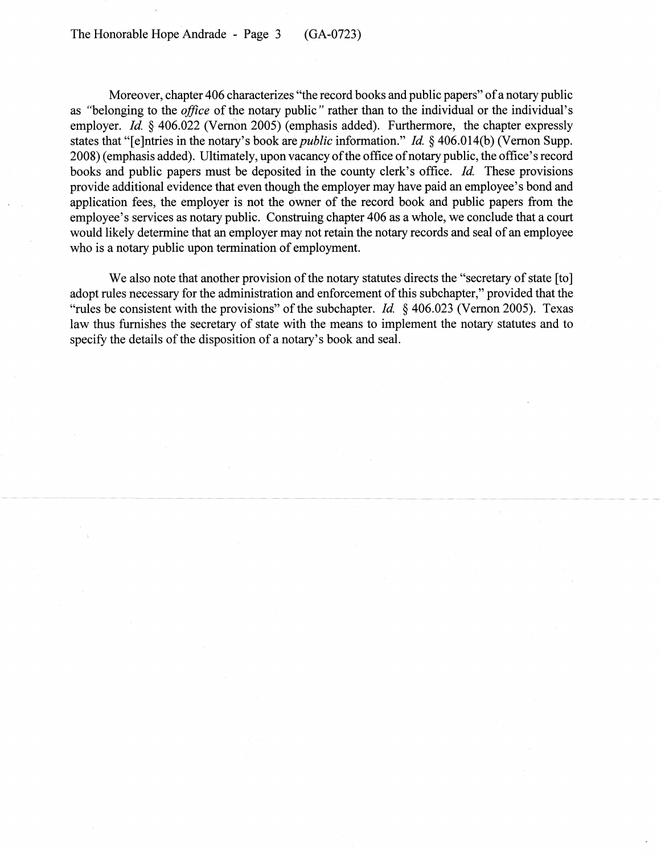Moreover, chapter 406 characterizes "the record books and public papers" of a notary public as "belonging to the *office* of the notary public" rather than to the individual or the individual's employer. *Id.* § 406.022 (Vernon 2005) (emphasis added). Furthermore, the chapter expressly states that "[e]ntries in the notary's book are *public* information." *Id* § 406.014(b) (Vernon Supp. 2008) (emphasis added). Ultimately, upon vacancy of the office of notary public, the office's record books and public papers must be deposited in the county clerk's office. *Id.* These provisions provide additional evidence that even though the employer may have paid an employee's bond and application fees, the employer is not the owner of the record book and public papers from the employee's services as notary public. Construing chapter 406 as a whole, we conclude that a court would likely determine that an employer may not retain the notary records and seal of an employee who is a notary public upon termination of employment.

We also note that another provision of the notary statutes directs the "secretary of state [to] adopt rules necessary for the administration and enforcement of this subchapter," provided that the "rules be consistent with the provisions" of the subchapter. *Id* § 406.023 (Vernon 2005). Texas law thus furnishes the secretary of state with the means to implement the notary statutes and to specify the details of the disposition of a notary's book and seal.